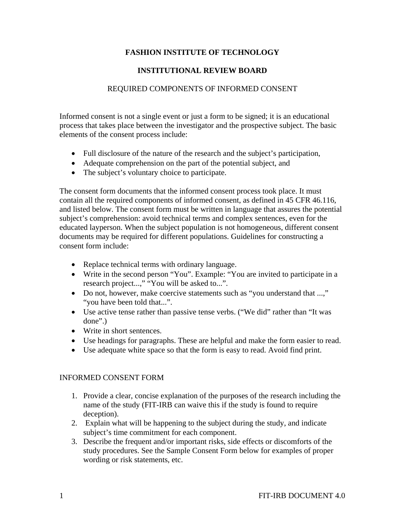## **FASHION INSTITUTE OF TECHNOLOGY**

## **INSTITUTIONAL REVIEW BOARD**

### REQUIRED COMPONENTS OF INFORMED CONSENT

Informed consent is not a single event or just a form to be signed; it is an educational process that takes place between the investigator and the prospective subject. The basic elements of the consent process include:

- Full disclosure of the nature of the research and the subject's participation,
- Adequate comprehension on the part of the potential subject, and
- The subject's voluntary choice to participate.

The consent form documents that the informed consent process took place. It must contain all the required components of informed consent, as defined in 45 CFR 46.116, and listed below. The consent form must be written in language that assures the potential subject's comprehension: avoid technical terms and complex sentences, even for the educated layperson. When the subject population is not homogeneous, different consent documents may be required for different populations. Guidelines for constructing a consent form include:

- Replace technical terms with ordinary language.
- Write in the second person "You". Example: "You are invited to participate in a research project...," "You will be asked to...".
- Do not, however, make coercive statements such as "you understand that ...," "you have been told that...".
- Use active tense rather than passive tense verbs. ("We did" rather than "It was done".)
- Write in short sentences.
- Use headings for paragraphs. These are helpful and make the form easier to read.
- Use adequate white space so that the form is easy to read. Avoid find print.

#### INFORMED CONSENT FORM

- 1. Provide a clear, concise explanation of the purposes of the research including the name of the study (FIT-IRB can waive this if the study is found to require deception).
- 2. Explain what will be happening to the subject during the study, and indicate subject's time commitment for each component.
- 3. Describe the frequent and/or important risks, side effects or discomforts of the study procedures. See the Sample Consent Form below for examples of proper wording or risk statements, etc.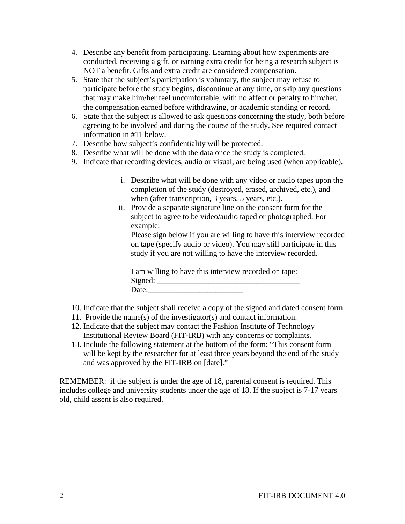- 4. Describe any benefit from participating. Learning about how experiments are conducted, receiving a gift, or earning extra credit for being a research subject is NOT a benefit. Gifts and extra credit are considered compensation.
- 5. State that the subject's participation is voluntary, the subject may refuse to participate before the study begins, discontinue at any time, or skip any questions that may make him/her feel uncomfortable, with no affect or penalty to him/her, the compensation earned before withdrawing, or academic standing or record.
- 6. State that the subject is allowed to ask questions concerning the study, both before agreeing to be involved and during the course of the study. See required contact information in #11 below.
- 7. Describe how subject's confidentiality will be protected.
- 8. Describe what will be done with the data once the study is completed.
- 9. Indicate that recording devices, audio or visual, are being used (when applicable).
	- i. Describe what will be done with any video or audio tapes upon the completion of the study (destroyed, erased, archived, etc.), and when (after transcription, 3 years, 5 years, etc.).
	- ii. Provide a separate signature line on the consent form for the subject to agree to be video/audio taped or photographed. For example:

Please sign below if you are willing to have this interview recorded on tape (specify audio or video). You may still participate in this study if you are not willing to have the interview recorded.

I am willing to have this interview recorded on tape: Signed: \_\_\_\_\_\_\_\_\_\_\_\_\_\_\_\_\_\_\_\_\_\_\_\_\_\_\_\_\_\_\_\_\_\_\_\_ Date:\_\_\_\_\_\_\_\_\_\_\_\_\_\_\_\_\_\_\_\_\_\_\_\_

- 10. Indicate that the subject shall receive a copy of the signed and dated consent form.
- 11. Provide the name(s) of the investigator(s) and contact information.
- 12. Indicate that the subject may contact the Fashion Institute of Technology Institutional Review Board (FIT-IRB) with any concerns or complaints.
- 13. Include the following statement at the bottom of the form: "This consent form will be kept by the researcher for at least three years beyond the end of the study and was approved by the FIT-IRB on [date]."

REMEMBER: if the subject is under the age of 18, parental consent is required. This includes college and university students under the age of 18. If the subject is 7-17 years old, child assent is also required.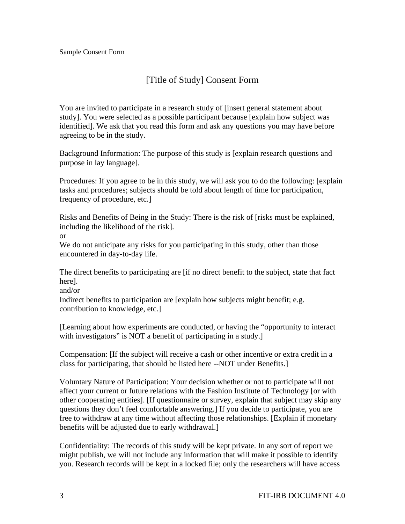# [Title of Study] Consent Form

You are invited to participate in a research study of [insert general statement about study]. You were selected as a possible participant because [explain how subject was identified]. We ask that you read this form and ask any questions you may have before agreeing to be in the study.

Background Information: The purpose of this study is [explain research questions and purpose in lay language].

Procedures: If you agree to be in this study, we will ask you to do the following: [explain tasks and procedures; subjects should be told about length of time for participation, frequency of procedure, etc.]

Risks and Benefits of Being in the Study: There is the risk of [risks must be explained, including the likelihood of the risk].

or

We do not anticipate any risks for you participating in this study, other than those encountered in day-to-day life.

The direct benefits to participating are [if no direct benefit to the subject, state that fact here].

and/or

Indirect benefits to participation are [explain how subjects might benefit; e.g. contribution to knowledge, etc.]

[Learning about how experiments are conducted, or having the "opportunity to interact with investigators" is NOT a benefit of participating in a study.

Compensation: [If the subject will receive a cash or other incentive or extra credit in a class for participating, that should be listed here --NOT under Benefits.]

Voluntary Nature of Participation: Your decision whether or not to participate will not affect your current or future relations with the Fashion Institute of Technology [or with other cooperating entities]. [If questionnaire or survey, explain that subject may skip any questions they don't feel comfortable answering.] If you decide to participate, you are free to withdraw at any time without affecting those relationships. [Explain if monetary benefits will be adjusted due to early withdrawal.]

Confidentiality: The records of this study will be kept private. In any sort of report we might publish, we will not include any information that will make it possible to identify you. Research records will be kept in a locked file; only the researchers will have access